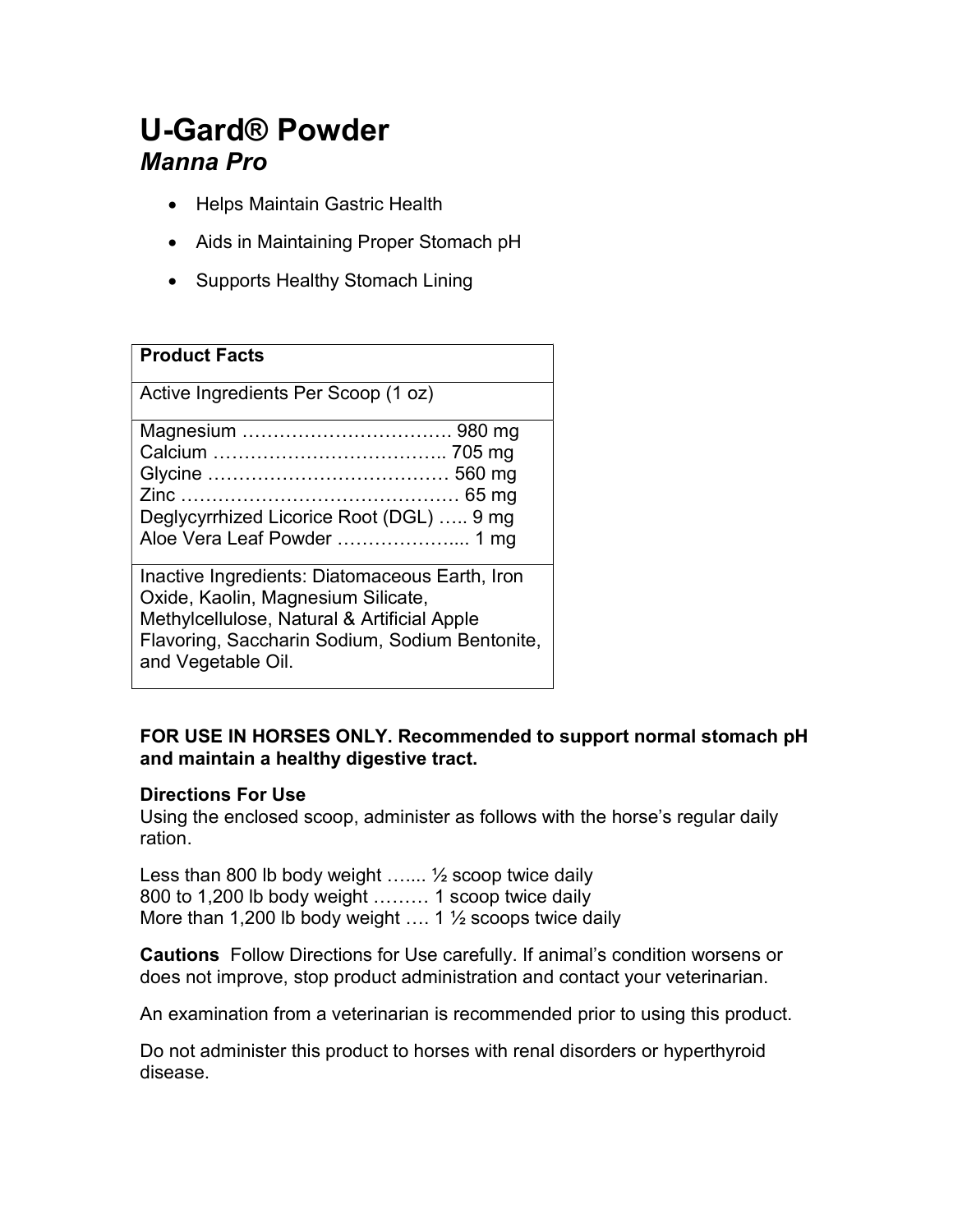# U-Gard® Powder Manna Pro

- Helps Maintain Gastric Health
- Aids in Maintaining Proper Stomach pH
- Supports Healthy Stomach Lining

| <b>Product Facts</b>                                                                                                                                                                                        |
|-------------------------------------------------------------------------------------------------------------------------------------------------------------------------------------------------------------|
| Active Ingredients Per Scoop (1 oz)                                                                                                                                                                         |
| Deglycyrrhized Licorice Root (DGL)  9 mg<br>Aloe Vera Leaf Powder  1 mg                                                                                                                                     |
| Inactive Ingredients: Diatomaceous Earth, Iron<br>Oxide, Kaolin, Magnesium Silicate,<br>Methylcellulose, Natural & Artificial Apple<br>Flavoring, Saccharin Sodium, Sodium Bentonite,<br>and Vegetable Oil. |

### FOR USE IN HORSES ONLY. Recommended to support normal stomach pH and maintain a healthy digestive tract.

#### Directions For Use

Using the enclosed scoop, administer as follows with the horse's regular daily ration.

Less than 800 lb body weight ….... ½ scoop twice daily 800 to 1,200 lb body weight ……… 1 scoop twice daily More than 1,200 lb body weight  $\dots$  1  $\frac{1}{2}$  scoops twice daily

Cautions Follow Directions for Use carefully. If animal's condition worsens or does not improve, stop product administration and contact your veterinarian.

An examination from a veterinarian is recommended prior to using this product.

Do not administer this product to horses with renal disorders or hyperthyroid disease.